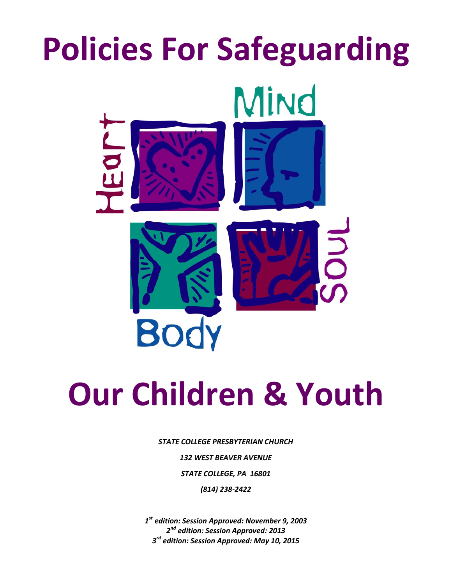# **Policies For Safeguarding** Mind E **Body**

# **Our Children & Youth**

*STATE COLLEGE PRESBYTERIAN CHURCH 132 WEST BEAVER AVENUE STATE COLLEGE, PA 16801 (814) 238-2422*

*1 st edition: Session Approved: November 9, 2003 2 nd edition: Session Approved: 2013 3 rd edition: Session Approved: May 10, 2015*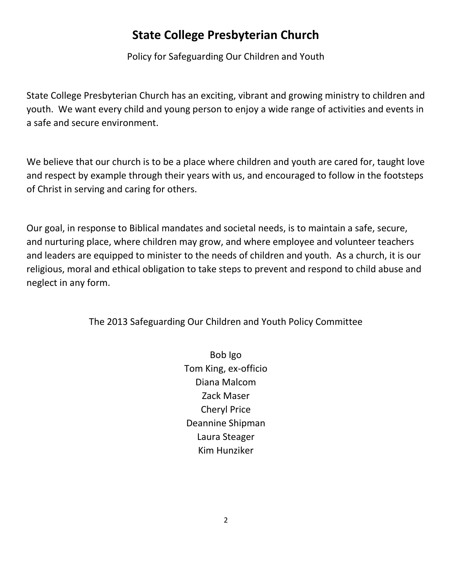# **State College Presbyterian Church**

Policy for Safeguarding Our Children and Youth

State College Presbyterian Church has an exciting, vibrant and growing ministry to children and youth. We want every child and young person to enjoy a wide range of activities and events in a safe and secure environment.

We believe that our church is to be a place where children and youth are cared for, taught love and respect by example through their years with us, and encouraged to follow in the footsteps of Christ in serving and caring for others.

Our goal, in response to Biblical mandates and societal needs, is to maintain a safe, secure, and nurturing place, where children may grow, and where employee and volunteer teachers and leaders are equipped to minister to the needs of children and youth. As a church, it is our religious, moral and ethical obligation to take steps to prevent and respond to child abuse and neglect in any form.

The 2013 Safeguarding Our Children and Youth Policy Committee

Bob Igo Tom King, ex-officio Diana Malcom Zack Maser Cheryl Price Deannine Shipman Laura Steager Kim Hunziker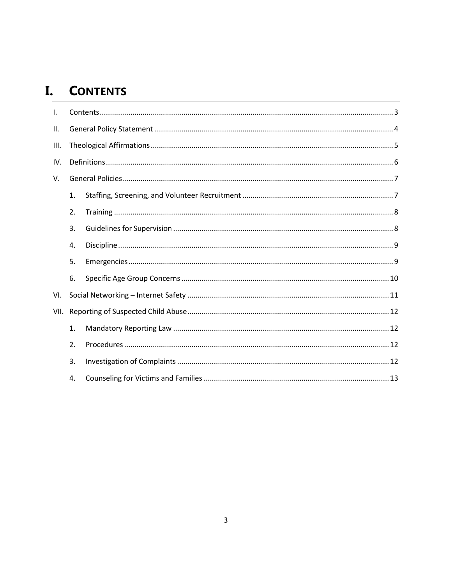# <span id="page-2-0"></span>I. CONTENTS

| $\mathsf{L}$ |    |  |  |
|--------------|----|--|--|
| ΙΙ.          |    |  |  |
| III.         |    |  |  |
| IV.          |    |  |  |
| V.           |    |  |  |
|              | 1. |  |  |
|              | 2. |  |  |
|              | 3. |  |  |
|              | 4. |  |  |
|              | 5. |  |  |
|              | 6. |  |  |
| VI.          |    |  |  |
| VII.         |    |  |  |
|              | 1. |  |  |
|              | 2. |  |  |
|              | 3. |  |  |
|              | 4. |  |  |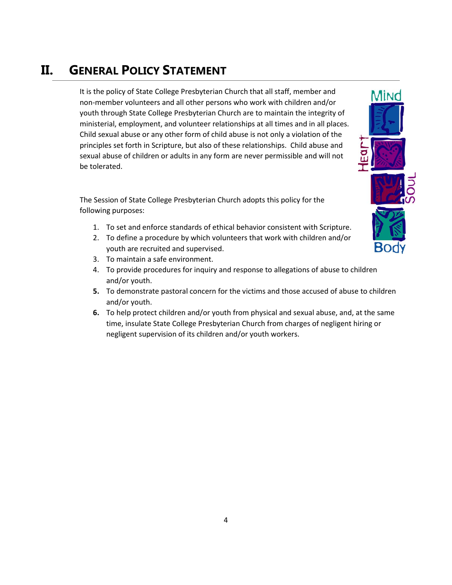# <span id="page-3-0"></span>**II. GENERAL POLICY STATEMENT**

It is the policy of State College Presbyterian Church that all staff, member and non-member volunteers and all other persons who work with children and/or youth through State College Presbyterian Church are to maintain the integrity of ministerial, employment, and volunteer relationships at all times and in all places. Child sexual abuse or any other form of child abuse is not only a violation of the principles set forth in Scripture, but also of these relationships. Child abuse and sexual abuse of children or adults in any form are never permissible and will not be tolerated.

The Session of State College Presbyterian Church adopts this policy for the following purposes:

- 1. To set and enforce standards of ethical behavior consistent with Scripture.
- 2. To define a procedure by which volunteers that work with children and/or youth are recruited and supervised.
- 3. To maintain a safe environment.
- 4. To provide procedures for inquiry and response to allegations of abuse to children and/or youth.
- **5.** To demonstrate pastoral concern for the victims and those accused of abuse to children and/or youth.
- **6.** To help protect children and/or youth from physical and sexual abuse, and, at the same time, insulate State College Presbyterian Church from charges of negligent hiring or negligent supervision of its children and/or youth workers.

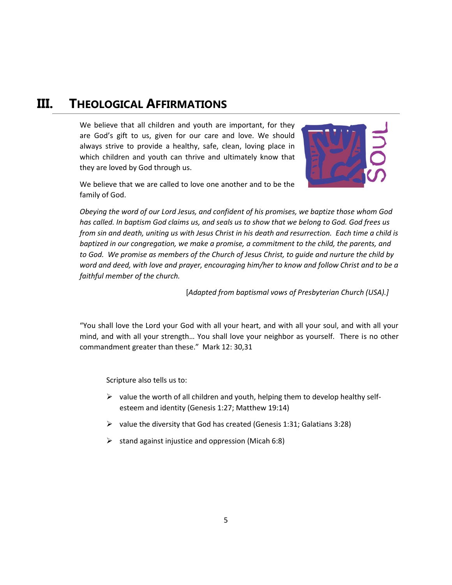# <span id="page-4-0"></span>**III. THEOLOGICAL AFFIRMATIONS**

We believe that all children and youth are important, for they are God's gift to us, given for our care and love. We should always strive to provide a healthy, safe, clean, loving place in which children and youth can thrive and ultimately know that they are loved by God through us.



We believe that we are called to love one another and to be the family of God.

*Obeying the word of our Lord Jesus, and confident of his promises, we baptize those whom God has called. In baptism God claims us, and seals us to show that we belong to God. God frees us from sin and death, uniting us with Jesus Christ in his death and resurrection. Each time a child is baptized in our congregation, we make a promise, a commitment to the child, the parents, and to God. We promise as members of the Church of Jesus Christ, to guide and nurture the child by word and deed, with love and prayer, encouraging him/her to know and follow Christ and to be a faithful member of the church.*

[*Adapted from baptismal vows of Presbyterian Church (USA).]*

"You shall love the Lord your God with all your heart, and with all your soul, and with all your mind, and with all your strength… You shall love your neighbor as yourself. There is no other commandment greater than these." Mark 12: 30,31

Scripture also tells us to:

- $\triangleright$  value the worth of all children and youth, helping them to develop healthy selfesteem and identity (Genesis 1:27; Matthew 19:14)
- $\triangleright$  value the diversity that God has created (Genesis 1:31; Galatians 3:28)
- $\triangleright$  stand against injustice and oppression (Micah 6:8)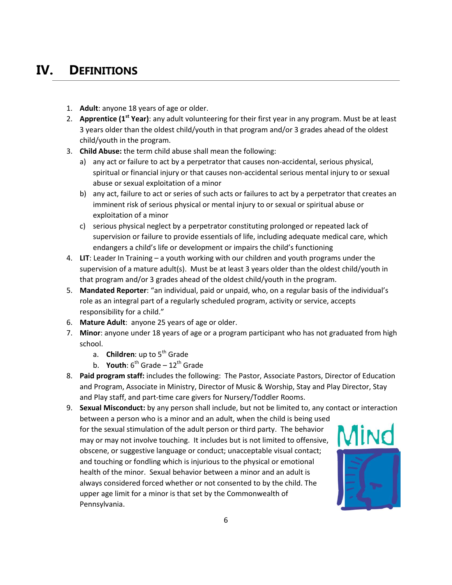# <span id="page-5-0"></span>**IV. DEFINITIONS**

- 1. **Adult**: anyone 18 years of age or older.
- 2. **Apprentice (1st Year)**: any adult volunteering for their first year in any program. Must be at least 3 years older than the oldest child/youth in that program and/or 3 grades ahead of the oldest child/youth in the program.
- 3. **Child Abuse:** the term child abuse shall mean the following:
	- a) any act or failure to act by a perpetrator that causes non-accidental, serious physical, spiritual or financial injury or that causes non-accidental serious mental injury to or sexual abuse or sexual exploitation of a minor
	- b) any act, failure to act or series of such acts or failures to act by a perpetrator that creates an imminent risk of serious physical or mental injury to or sexual or spiritual abuse or exploitation of a minor
	- c) serious physical neglect by a perpetrator constituting prolonged or repeated lack of supervision or failure to provide essentials of life, including adequate medical care, which endangers a child's life or development or impairs the child's functioning
- 4. **LIT**: Leader In Training a youth working with our children and youth programs under the supervision of a mature adult(s). Must be at least 3 years older than the oldest child/youth in that program and/or 3 grades ahead of the oldest child/youth in the program.
- 5. **Mandated Reporter**: "an individual, paid or unpaid, who, on a regular basis of the individual's role as an integral part of a regularly scheduled program, activity or service, accepts responsibility for a child."
- 6. **Mature Adult**: anyone 25 years of age or older.
- 7. **Minor**: anyone under 18 years of age or a program participant who has not graduated from high school.
	- a. **Children**: up to 5<sup>th</sup> Grade
	- b. **Youth**:  $6^{th}$  Grade  $12^{th}$  Grade
- 8. **Paid program staff:** includes the following: The Pastor, Associate Pastors, Director of Education and Program, Associate in Ministry, Director of Music & Worship, Stay and Play Director, Stay and Play staff, and part-time care givers for Nursery/Toddler Rooms.
- 9. **Sexual Misconduct:** by any person shall include, but not be limited to, any contact or interaction between a person who is a minor and an adult, when the child is being used for the sexual stimulation of the adult person or third party. The behavior may or may not involve touching. It includes but is not limited to offensive, obscene, or suggestive language or conduct; unacceptable visual contact; and touching or fondling which is injurious to the physical or emotional health of the minor. Sexual behavior between a minor and an adult is always considered forced whether or not consented to by the child. The upper age limit for a minor is that set by the Commonwealth of Pennsylvania.

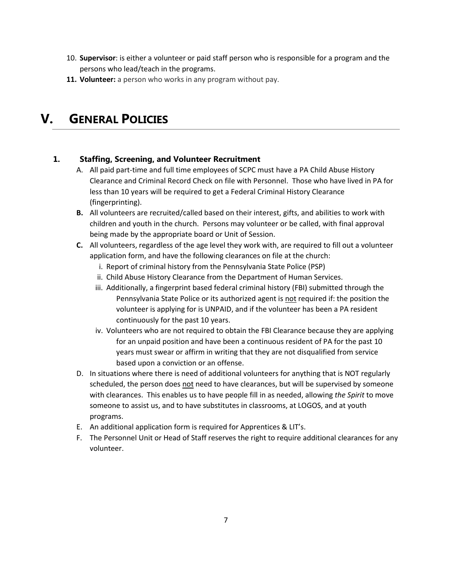- 10. **Supervisor**: is either a volunteer or paid staff person who is responsible for a program and the persons who lead/teach in the programs.
- **11. Volunteer:** a person who works in any program without pay.

# <span id="page-6-0"></span>**V. GENERAL POLICIES**

#### <span id="page-6-1"></span>**1. Staffing, Screening, and Volunteer Recruitment**

- A. All paid part-time and full time employees of SCPC must have a PA Child Abuse History Clearance and Criminal Record Check on file with Personnel. Those who have lived in PA for less than 10 years will be required to get a Federal Criminal History Clearance (fingerprinting).
- **B.** All volunteers are recruited/called based on their interest, gifts, and abilities to work with children and youth in the church. Persons may volunteer or be called, with final approval being made by the appropriate board or Unit of Session.
- **C.** All volunteers, regardless of the age level they work with, are required to fill out a volunteer application form, and have the following clearances on file at the church:
	- i. Report of criminal history from the Pennsylvania State Police (PSP)
	- ii. Child Abuse History Clearance from the Department of Human Services.
	- iii. Additionally, a fingerprint based federal criminal history (FBI) submitted through the Pennsylvania State Police or its authorized agent is not required if: the position the volunteer is applying for is UNPAID, and if the volunteer has been a PA resident continuously for the past 10 years.
	- iv. Volunteers who are not required to obtain the FBI Clearance because they are applying for an unpaid position and have been a continuous resident of PA for the past 10 years must swear or affirm in writing that they are not disqualified from service based upon a conviction or an offense.
- D. In situations where there is need of additional volunteers for anything that is NOT regularly scheduled, the person does not need to have clearances, but will be supervised by someone with clearances. This enables us to have people fill in as needed, allowing *the Spirit* to move someone to assist us, and to have substitutes in classrooms, at LOGOS, and at youth programs.
- E. An additional application form is required for Apprentices & LIT's.
- F. The Personnel Unit or Head of Staff reserves the right to require additional clearances for any volunteer.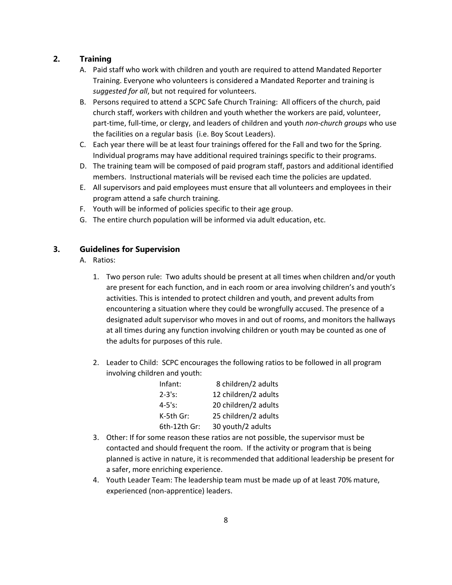#### <span id="page-7-0"></span>**2. Training**

- A. Paid staff who work with children and youth are required to attend Mandated Reporter Training. Everyone who volunteers is considered a Mandated Reporter and training is *suggested for all*, but not required for volunteers.
- B. Persons required to attend a SCPC Safe Church Training: All officers of the church, paid church staff, workers with children and youth whether the workers are paid, volunteer, part-time, full-time, or clergy, and leaders of children and youth *non-church groups* who use the facilities on a regular basis (i.e. Boy Scout Leaders).
- C. Each year there will be at least four trainings offered for the Fall and two for the Spring. Individual programs may have additional required trainings specific to their programs.
- D. The training team will be composed of paid program staff, pastors and additional identified members. Instructional materials will be revised each time the policies are updated.
- E. All supervisors and paid employees must ensure that all volunteers and employees in their program attend a safe church training.
- F. Youth will be informed of policies specific to their age group.
- G. The entire church population will be informed via adult education, etc.

#### <span id="page-7-1"></span>**3. Guidelines for Supervision**

- A. Ratios:
	- 1. Two person rule: Two adults should be present at all times when children and/or youth are present for each function, and in each room or area involving children's and youth's activities. This is intended to protect children and youth, and prevent adults from encountering a situation where they could be wrongfully accused. The presence of a designated adult supervisor who moves in and out of rooms, and monitors the hallways at all times during any function involving children or youth may be counted as one of the adults for purposes of this rule.
	- 2. Leader to Child: SCPC encourages the following ratios to be followed in all program involving children and youth:

| Infant:      | 8 children/2 adults  |
|--------------|----------------------|
| $2 - 3's:$   | 12 children/2 adults |
| $4 - 5's:$   | 20 children/2 adults |
| K-5th Gr:    | 25 children/2 adults |
| 6th-12th Gr: | 30 youth/2 adults    |

- 3. Other: If for some reason these ratios are not possible, the supervisor must be contacted and should frequent the room. If the activity or program that is being planned is active in nature, it is recommended that additional leadership be present for a safer, more enriching experience.
- 4. Youth Leader Team: The leadership team must be made up of at least 70% mature, experienced (non-apprentice) leaders.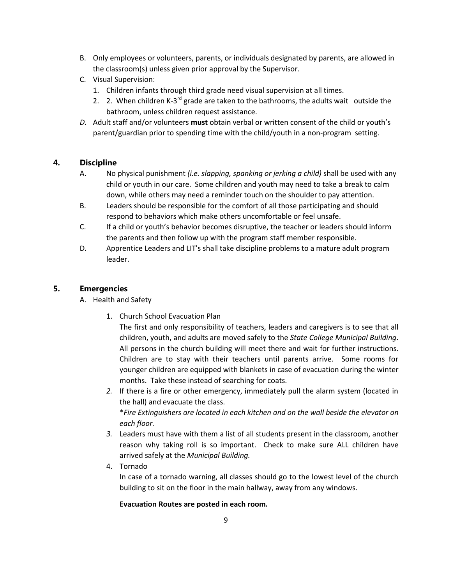- B. Only employees or volunteers, parents, or individuals designated by parents, are allowed in the classroom(s) unless given prior approval by the Supervisor.
- C. Visual Supervision:
	- 1. Children infants through third grade need visual supervision at all times.
	- 2. 2. When children K-3<sup>rd</sup> grade are taken to the bathrooms, the adults wait outside the bathroom, unless children request assistance.
- *D.* Adult staff and/or volunteers **must** obtain verbal or written consent of the child or youth's parent/guardian prior to spending time with the child/youth in a non-program setting.

#### <span id="page-8-0"></span>**4. Discipline**

- A. No physical punishment *(i.e. slapping, spanking or jerking a child)* shall be used with any child or youth in our care. Some children and youth may need to take a break to calm down, while others may need a reminder touch on the shoulder to pay attention.
- B. Leaders should be responsible for the comfort of all those participating and should respond to behaviors which make others uncomfortable or feel unsafe.
- C. If a child or youth's behavior becomes disruptive, the teacher or leaders should inform the parents and then follow up with the program staff member responsible.
- D*.* Apprentice Leaders and LIT's shall take discipline problems to a mature adult program leader.

#### <span id="page-8-1"></span>**5. Emergencies**

#### A. Health and Safety

1. Church School Evacuation Plan

The first and only responsibility of teachers, leaders and caregivers is to see that all children, youth, and adults are moved safely to the *State College Municipal Building*. All persons in the church building will meet there and wait for further instructions. Children are to stay with their teachers until parents arrive. Some rooms for younger children are equipped with blankets in case of evacuation during the winter months. Take these instead of searching for coats.

*2.* If there is a fire or other emergency, immediately pull the alarm system (located in the hall) and evacuate the class.

\**Fire Extinguishers are located in each kitchen and on the wall beside the elevator on each floor.*

- *3.* Leaders must have with them a list of all students present in the classroom, another reason why taking roll is so important. Check to make sure ALL children have arrived safely at the *Municipal Building.*
- 4. Tornado

In case of a tornado warning, all classes should go to the lowest level of the church building to sit on the floor in the main hallway, away from any windows.

#### **Evacuation Routes are posted in each room.**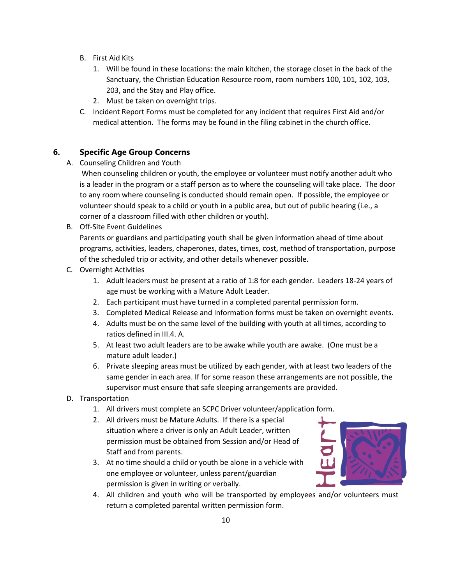- B. First Aid Kits
	- 1. Will be found in these locations: the main kitchen, the storage closet in the back of the Sanctuary, the Christian Education Resource room, room numbers 100, 101, 102, 103, 203, and the Stay and Play office.
	- 2. Must be taken on overnight trips.
- C. Incident Report Forms must be completed for any incident that requires First Aid and/or medical attention. The forms may be found in the filing cabinet in the church office.

#### <span id="page-9-0"></span>**6. Specific Age Group Concerns**

A. Counseling Children and Youth

When counseling children or youth, the employee or volunteer must notify another adult who is a leader in the program or a staff person as to where the counseling will take place. The door to any room where counseling is conducted should remain open. If possible, the employee or volunteer should speak to a child or youth in a public area, but out of public hearing (i.e., a corner of a classroom filled with other children or youth).

B. Off-Site Event Guidelines

Parents or guardians and participating youth shall be given information ahead of time about programs, activities, leaders, chaperones, dates, times, cost, method of transportation, purpose of the scheduled trip or activity, and other details whenever possible.

- C. Overnight Activities
	- 1. Adult leaders must be present at a ratio of 1:8 for each gender. Leaders 18-24 years of age must be working with a Mature Adult Leader.
	- 2. Each participant must have turned in a completed parental permission form.
	- 3. Completed Medical Release and Information forms must be taken on overnight events.
	- 4. Adults must be on the same level of the building with youth at all times, according to ratios defined in III.4. A.
	- 5. At least two adult leaders are to be awake while youth are awake. (One must be a mature adult leader.)
	- 6. Private sleeping areas must be utilized by each gender, with at least two leaders of the same gender in each area. If for some reason these arrangements are not possible, the supervisor must ensure that safe sleeping arrangements are provided.
- D. Transportation
	- 1. All drivers must complete an SCPC Driver volunteer/application form.
	- 2. All drivers must be Mature Adults. If there is a special situation where a driver is only an Adult Leader, written permission must be obtained from Session and/or Head of Staff and from parents.
	- 3. At no time should a child or youth be alone in a vehicle with one employee or volunteer, unless parent/guardian permission is given in writing or verbally.



4. All children and youth who will be transported by employees and/or volunteers must return a completed parental written permission form.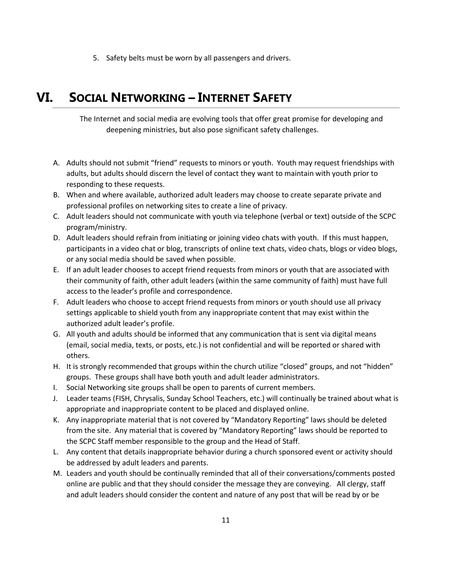5. Safety belts must be worn by all passengers and drivers.

## <span id="page-10-0"></span>**VI. SOCIAL NETWORKING – INTERNET SAFETY**

The Internet and social media are evolving tools that offer great promise for developing and deepening ministries, but also pose significant safety challenges.

- A. Adults should not submit "friend" requests to minors or youth. Youth may request friendships with adults, but adults should discern the level of contact they want to maintain with youth prior to responding to these requests.
- B. When and where available, authorized adult leaders may choose to create separate private and professional profiles on networking sites to create a line of privacy.
- C. Adult leaders should not communicate with youth via telephone (verbal or text) outside of the SCPC program/ministry.
- D. Adult leaders should refrain from initiating or joining video chats with youth. If this must happen, participants in a video chat or blog, transcripts of online text chats, video chats, blogs or video blogs, or any social media should be saved when possible.
- E. If an adult leader chooses to accept friend requests from minors or youth that are associated with their community of faith, other adult leaders (within the same community of faith) must have full access to the leader's profile and correspondence.
- F. Adult leaders who choose to accept friend requests from minors or youth should use all privacy settings applicable to shield youth from any inappropriate content that may exist within the authorized adult leader's profile.
- G. All youth and adults should be informed that any communication that is sent via digital means (email, social media, texts, or posts, etc.) is not confidential and will be reported or shared with others.
- H. It is strongly recommended that groups within the church utilize "closed" groups, and not "hidden" groups. These groups shall have both youth and adult leader administrators.
- I. Social Networking site groups shall be open to parents of current members.
- J. Leader teams (FISH, Chrysalis, Sunday School Teachers, etc.) will continually be trained about what is appropriate and inappropriate content to be placed and displayed online.
- K. Any inappropriate material that is not covered by "Mandatory Reporting" laws should be deleted from the site. Any material that is covered by "Mandatory Reporting" laws should be reported to the SCPC Staff member responsible to the group and the Head of Staff.
- L. Any content that details inappropriate behavior during a church sponsored event or activity should be addressed by adult leaders and parents.
- M. Leaders and youth should be continually reminded that all of their conversations/comments posted online are public and that they should consider the message they are conveying. All clergy, staff and adult leaders should consider the content and nature of any post that will be read by or be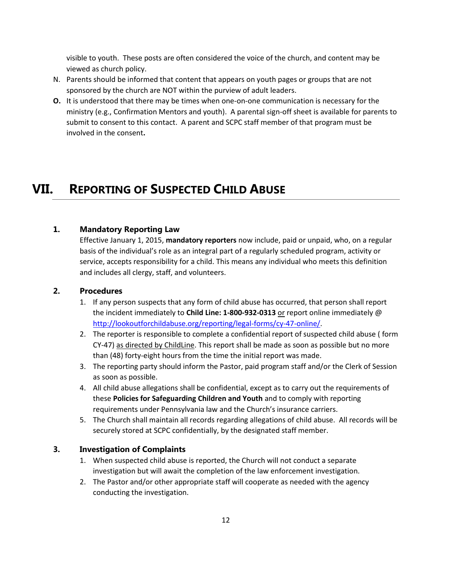visible to youth. These posts are often considered the voice of the church, and content may be viewed as church policy.

- N. Parents should be informed that content that appears on youth pages or groups that are not sponsored by the church are NOT within the purview of adult leaders.
- **O.** It is understood that there may be times when one-on-one communication is necessary for the ministry (e.g., Confirmation Mentors and youth). A parental sign-off sheet is available for parents to submit to consent to this contact. A parent and SCPC staff member of that program must be involved in the consent**.**

## <span id="page-11-0"></span>**VII. REPORTING OF SUSPECTED CHILD ABUSE**

#### <span id="page-11-1"></span>**1. Mandatory Reporting Law**

Effective January 1, 2015, **mandatory reporters** now include, paid or unpaid, who, on a regular basis of the individual's role as an integral part of a regularly scheduled program, activity or service, accepts responsibility for a child. This means any individual who meets this definition and includes all clergy, staff, and volunteers.

#### <span id="page-11-2"></span>**2. Procedures**

- 1. If any person suspects that any form of child abuse has occurred, that person shall report the incident immediately to **Child Line: 1-800-932-0313** or report online immediately @ [http://lookoutforchildabuse.org/reporting/legal-forms/cy-47-online/.](http://lookoutforchildabuse.org/reporting/legal-forms/cy-47-online/)
- 2. The reporter is responsible to complete a confidential report of suspected child abuse ( form CY-47) as directed by ChildLine. This report shall be made as soon as possible but no more than (48) forty-eight hours from the time the initial report was made.
- 3. The reporting party should inform the Pastor, paid program staff and/or the Clerk of Session as soon as possible.
- 4. All child abuse allegations shall be confidential, except as to carry out the requirements of these **Policies for Safeguarding Children and Youth** and to comply with reporting requirements under Pennsylvania law and the Church's insurance carriers.
- 5. The Church shall maintain all records regarding allegations of child abuse. All records will be securely stored at SCPC confidentially, by the designated staff member.

#### <span id="page-11-3"></span>**3. Investigation of Complaints**

- 1. When suspected child abuse is reported, the Church will not conduct a separate investigation but will await the completion of the law enforcement investigation.
- 2. The Pastor and/or other appropriate staff will cooperate as needed with the agency conducting the investigation.